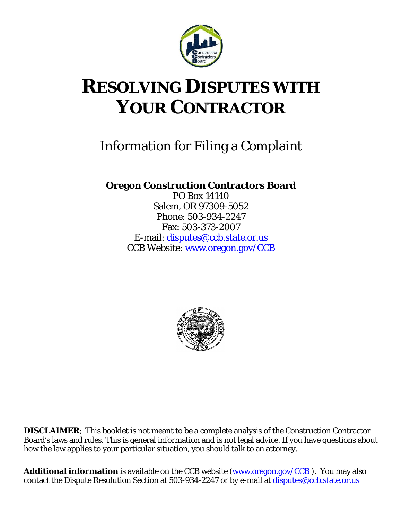

# **RESOLVING DISPUTES WITH YOUR CONTRACTOR**

# Information for Filing a Complaint

**Oregon Construction Contractors Board**

PO Box 14140 Salem, OR 97309-5052 Phone: 503-934-2247 Fax: 503-373-2007 E-mail: [disputes@ccb.state.or.us](mailto:disputes@ccb.state.or.us) CCB Website: [www.oregon.gov/CCB](http://www.oregon.gov/CCB)



**DISCLAIMER**: This booklet is not meant to be a complete analysis of the Construction Contractor Board's laws and rules. This is general information and is not legal advice. If you have questions about how the law applies to your particular situation, you should talk to an attorney.

**Additional information** is available on the CCB website [\(www.oregon.gov/CCB](http://www.oregon.gov/CCB)). You may also contact the Dispute Resolution Section at 503-934-2247 or by e-mail at [disputes@ccb.state.or.us](mailto:disputes@ccb.state.or.us)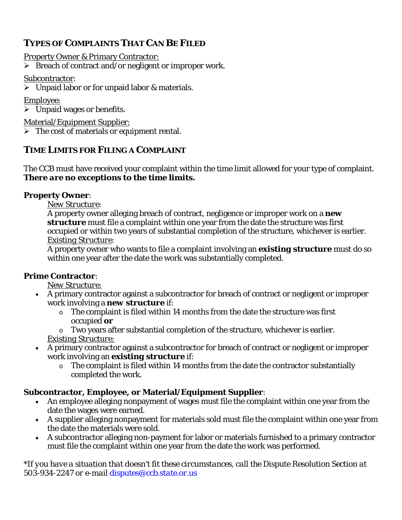## **TYPES OF COMPLAINTS THAT CAN BE FILED**

Property Owner & Primary Contractor:

 $\triangleright$  Breach of contract and/or negligent or improper work.

#### Subcontractor:

 $\triangleright$  Unpaid labor or for unpaid labor & materials.

#### Employee:

 $\triangleright$  Unpaid wages or benefits.

Material/Equipment Supplier:

 $\triangleright$  The cost of materials or equipment rental.

#### **TIME LIMITS FOR FILING A COMPLAINT**

The CCB must have received your complaint within the time limit allowed for your type of complaint. *There are no exceptions to the time limits.*

#### **Property Owner**:

*New Structure*:

A property owner alleging breach of contract, negligence or improper work on a *new structure* must file a complaint within one year from the date the structure was first occupied or within two years of substantial completion of the structure, whichever is earlier. *Existing Structure*:

A property owner who wants to file a complaint involving an *existing structure* must do so within one year after the date the work was substantially completed.

#### **Prime Contractor**:

*New Structure:*

- A primary contractor against a subcontractor for breach of contract or negligent or improper work involving a *new structure* if:
	- $\circ$  The complaint is filed within 14 months from the date the structure was first occupied *or*
	- o Two years after substantial completion of the structure, whichever is earlier.

*Existing Structure:*

- A primary contractor against a subcontractor for breach of contract or negligent or improper work involving an *existing structure* if:
	- o The complaint is filed within 14 months from the date the contractor substantially completed the work.

#### **Subcontractor, Employee, or Material/Equipment Supplier**:

- An employee alleging nonpayment of wages must file the complaint within one year from the date the wages were earned.
- A supplier alleging nonpayment for materials sold must file the complaint within one year from the date the materials were sold.
- A subcontractor alleging non-payment for labor or materials furnished to a primary contractor must file the complaint within one year from the date the work was performed.

*\*If you have a situation that doesn't fit these circumstances, call the Dispute Resolution Section at 503-934-2247 or e-mail [disputes@ccb.state.or.us](mailto:disputes@ccb.state.or.us)*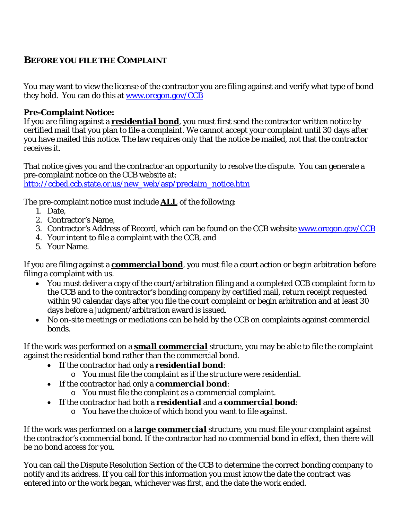### **BEFORE YOU FILE THE COMPLAINT**

You may want to view the license of the contractor you are filing against and verify what type of bond they hold. You can do this at <u>www.oregon.gov/CCB</u>

#### **Pre-Complaint Notice:**

If you are filing against a *residential bond*, you must first send the contractor written notice by certified mail that you plan to file a complaint. We cannot accept your complaint until 30 days after you have mailed this notice. The law requires only that the notice be mailed, not that the contractor receives it.

That notice gives you and the contractor an opportunity to resolve the dispute. You can generate a pre-complaint notice on the CCB website at: [http://ccbed.ccb.state.or.us/new\\_web/asp/preclaim\\_notice.htm](http://ccbed.ccb.state.or.us/new_web/asp/preclaim_notice.htm)

The pre-complaint notice must include *ALL* of the following:

- 1. Date,
- 2. Contractor's Name,
- 3. Contractor's Address of Record, which can be found on the CCB website www.oregon.gov/CCB
- 4. Your intent to file a complaint with the CCB, and
- 5. Your Name.

If you are filing against a *commercial bond*, you must file a court action or begin arbitration before filing a complaint with us.

- You must deliver a copy of the court/arbitration filing and a completed CCB complaint form to the CCB and to the contractor's bonding company by certified mail, return receipt requested within 90 calendar days after you file the court complaint or begin arbitration and at least 30 days before a judgment/arbitration award is issued.
- No on-site meetings or mediations can be held by the CCB on complaints against commercial bonds.

If the work was performed on a *small commercial* structure, you may be able to file the complaint against the residential bond rather than the commercial bond.

- If the contractor had only a *residential bond*:
	- o You must file the complaint as if the structure were residential.
- If the contractor had only a *commercial bond*:
	- o You must file the complaint as a commercial complaint.
- If the contractor had both a *residential* and a *commercial bond*:
	- o You have the choice of which bond you want to file against.

If the work was performed on a *large commercial* structure, you must file your complaint against the contractor's commercial bond. If the contractor had no commercial bond in effect, then there will be no bond access for you.

You can call the Dispute Resolution Section of the CCB to determine the correct bonding company to notify and its address. If you call for this information you must know the date the contract was entered into or the work began, whichever was first, and the date the work ended.